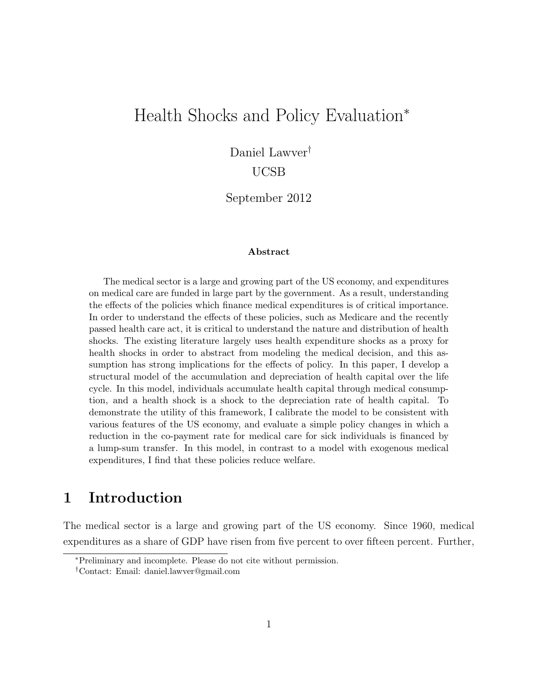# Health Shocks and Policy Evaluation<sup>∗</sup>

Daniel Lawver†

UCSB

September 2012

#### Abstract

The medical sector is a large and growing part of the US economy, and expenditures on medical care are funded in large part by the government. As a result, understanding the effects of the policies which finance medical expenditures is of critical importance. In order to understand the effects of these policies, such as Medicare and the recently passed health care act, it is critical to understand the nature and distribution of health shocks. The existing literature largely uses health expenditure shocks as a proxy for health shocks in order to abstract from modeling the medical decision, and this assumption has strong implications for the effects of policy. In this paper, I develop a structural model of the accumulation and depreciation of health capital over the life cycle. In this model, individuals accumulate health capital through medical consumption, and a health shock is a shock to the depreciation rate of health capital. To demonstrate the utility of this framework, I calibrate the model to be consistent with various features of the US economy, and evaluate a simple policy changes in which a reduction in the co-payment rate for medical care for sick individuals is financed by a lump-sum transfer. In this model, in contrast to a model with exogenous medical expenditures, I find that these policies reduce welfare.

## 1 Introduction

The medical sector is a large and growing part of the US economy. Since 1960, medical expenditures as a share of GDP have risen from five percent to over fifteen percent. Further,

<sup>∗</sup>Preliminary and incomplete. Please do not cite without permission.

<sup>†</sup>Contact: Email: daniel.lawver@gmail.com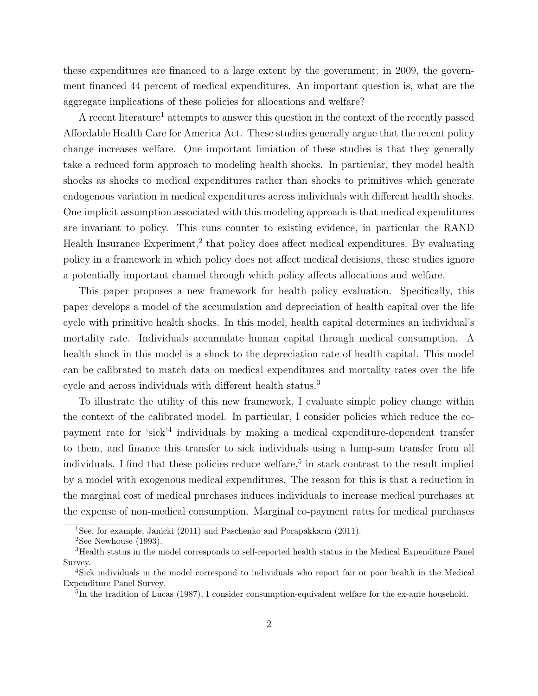these expenditures are financed to a large extent by the government; in 2009, the government financed 44 percent of medical expenditures. An important question is, what are the aggregate implications of these policies for allocations and welfare?

A recent literature<sup>1</sup> attempts to answer this question in the context of the recently passed Affordable Health Care for America Act. These studies generally argue that the recent policy change increases welfare. One important limiation of these studies is that they generally take a reduced form approach to modeling health shocks. In particular, they model health shocks as shocks to medical expenditures rather than shocks to primitives which generate endogenous variation in medical expenditures across individuals with different health shocks. One implicit assumption associated with this modeling approach is that medical expenditures are invariant to policy. This runs counter to existing evidence, in particular the RAND Health Insurance Experiment,<sup>2</sup> that policy does affect medical expenditures. By evaluating policy in a framework in which policy does not affect medical decisions, these studies ignore a potentially important channel through which policy affects allocations and welfare.

This paper proposes a new framework for health policy evaluation. Specifically, this paper develops a model of the accumulation and depreciation of health capital over the life cycle with primitive health shocks. In this model, health capital determines an individual's mortality rate. Individuals accumulate human capital through medical consumption. A health shock in this model is a shock to the depreciation rate of health capital. This model can be calibrated to match data on medical expenditures and mortality rates over the life cycle and across individuals with different health status.<sup>3</sup>

To illustrate the utility of this new framework, I evaluate simple policy change within the context of the calibrated model. In particular, I consider policies which reduce the copayment rate for 'sick'<sup>4</sup> individuals by making a medical expenditure-dependent transfer to them, and finance this transfer to sick individuals using a lump-sum transfer from all individuals. I find that these policies reduce welfare,<sup>5</sup> in stark contrast to the result implied by a model with exogenous medical expenditures. The reason for this is that a reduction in the marginal cost of medical purchases induces individuals to increase medical purchases at the expense of non-medical consumption. Marginal co-payment rates for medical purchases

<sup>&</sup>lt;sup>1</sup>See, for example, Janicki (2011) and Paschenko and Porapakkarm (2011).

 $2$ See Newhouse (1993).

<sup>3</sup>Health status in the model corresponds to self-reported health status in the Medical Expenditure Panel Survey.

<sup>4</sup>Sick individuals in the model correspond to individuals who report fair or poor health in the Medical Expenditure Panel Survey.

<sup>&</sup>lt;sup>5</sup>In the tradition of Lucas (1987), I consider consumption-equivalent welfare for the ex-ante household.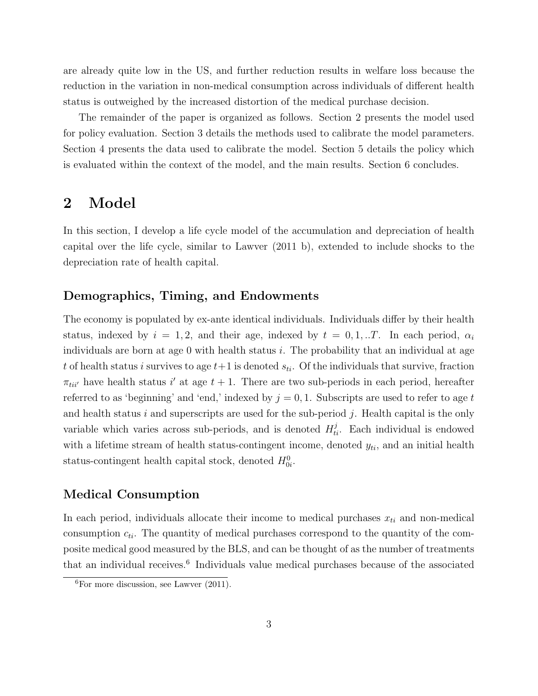are already quite low in the US, and further reduction results in welfare loss because the reduction in the variation in non-medical consumption across individuals of different health status is outweighed by the increased distortion of the medical purchase decision.

The remainder of the paper is organized as follows. Section 2 presents the model used for policy evaluation. Section 3 details the methods used to calibrate the model parameters. Section 4 presents the data used to calibrate the model. Section 5 details the policy which is evaluated within the context of the model, and the main results. Section 6 concludes.

## 2 Model

In this section, I develop a life cycle model of the accumulation and depreciation of health capital over the life cycle, similar to Lawver (2011 b), extended to include shocks to the depreciation rate of health capital.

## Demographics, Timing, and Endowments

The economy is populated by ex-ante identical individuals. Individuals differ by their health status, indexed by  $i = 1, 2$ , and their age, indexed by  $t = 0, 1, ...T$ . In each period,  $\alpha_i$ individuals are born at age  $0$  with health status i. The probability that an individual at age t of health status i survives to age  $t+1$  is denoted  $s_{ti}$ . Of the individuals that survive, fraction  $\pi_{tii'}$  have health status i' at age  $t + 1$ . There are two sub-periods in each period, hereafter referred to as 'beginning' and 'end,' indexed by  $j = 0, 1$ . Subscripts are used to refer to age t and health status i and superscripts are used for the sub-period j. Health capital is the only variable which varies across sub-periods, and is denoted  $H_{ti}^j$ . Each individual is endowed with a lifetime stream of health status-contingent income, denoted  $y_{ti}$ , and an initial health status-contingent health capital stock, denoted  $H_{0i}^0$ .

## Medical Consumption

In each period, individuals allocate their income to medical purchases  $x_{ti}$  and non-medical consumption  $c_{ti}$ . The quantity of medical purchases correspond to the quantity of the composite medical good measured by the BLS, and can be thought of as the number of treatments that an individual receives.<sup>6</sup> Individuals value medical purchases because of the associated

 ${}^{6}$ For more discussion, see Lawver (2011).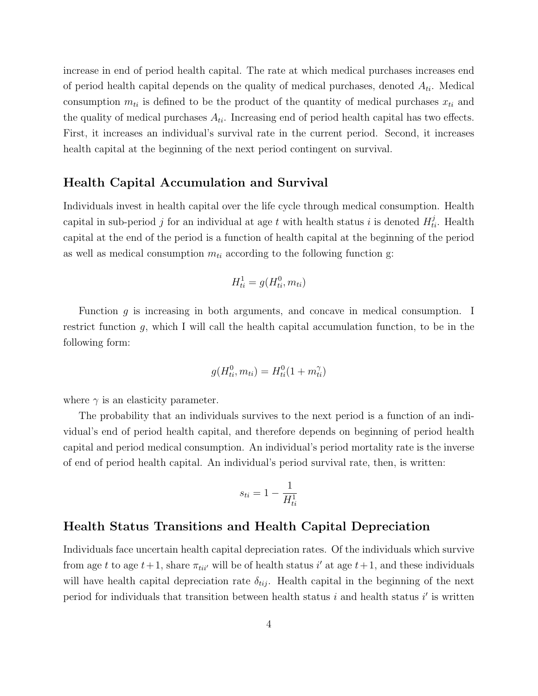increase in end of period health capital. The rate at which medical purchases increases end of period health capital depends on the quality of medical purchases, denoted  $A_{ti}$ . Medical consumption  $m_{ti}$  is defined to be the product of the quantity of medical purchases  $x_{ti}$  and the quality of medical purchases  $A_{ti}$ . Increasing end of period health capital has two effects. First, it increases an individual's survival rate in the current period. Second, it increases health capital at the beginning of the next period contingent on survival.

## Health Capital Accumulation and Survival

Individuals invest in health capital over the life cycle through medical consumption. Health capital in sub-period j for an individual at age t with health status i is denoted  $H_{ti}^j$ . Health capital at the end of the period is a function of health capital at the beginning of the period as well as medical consumption  $m_{ti}$  according to the following function g:

$$
H_{ti}^1 = g(H_{ti}^0, m_{ti})
$$

Function  $g$  is increasing in both arguments, and concave in medical consumption. I restrict function g, which I will call the health capital accumulation function, to be in the following form:

$$
g(H_{ti}^0, m_{ti}) = H_{ti}^0(1 + m_{ti}^\gamma)
$$

where  $\gamma$  is an elasticity parameter.

The probability that an individuals survives to the next period is a function of an individual's end of period health capital, and therefore depends on beginning of period health capital and period medical consumption. An individual's period mortality rate is the inverse of end of period health capital. An individual's period survival rate, then, is written:

$$
s_{ti} = 1 - \frac{1}{H_{ti}^1}
$$

### Health Status Transitions and Health Capital Depreciation

Individuals face uncertain health capital depreciation rates. Of the individuals which survive from age t to age  $t+1$ , share  $\pi_{tii'}$  will be of health status i' at age  $t+1$ , and these individuals will have health capital depreciation rate  $\delta_{tij}$ . Health capital in the beginning of the next period for individuals that transition between health status  $i$  and health status  $i'$  is written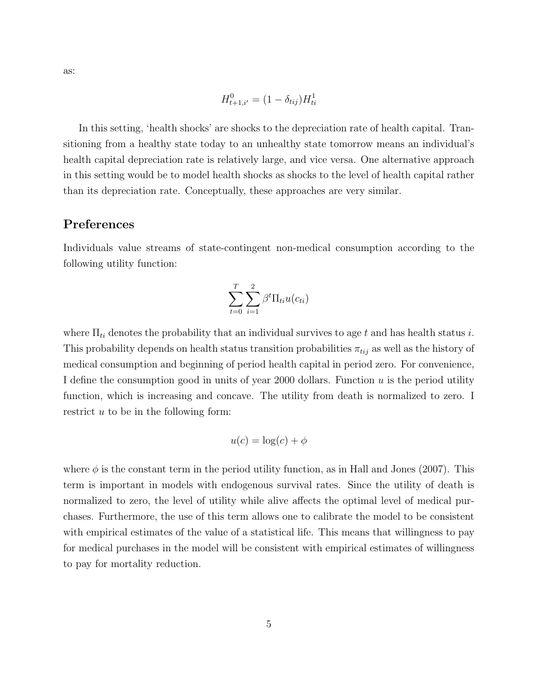$$
H_{t+1,i'}^{0} = (1 - \delta_{tij})H_{ti}^{1}
$$

In this setting, 'health shocks' are shocks to the depreciation rate of health capital. Transitioning from a healthy state today to an unhealthy state tomorrow means an individual's health capital depreciation rate is relatively large, and vice versa. One alternative approach in this setting would be to model health shocks as shocks to the level of health capital rather than its depreciation rate. Conceptually, these approaches are very similar.

## Preferences

Individuals value streams of state-contingent non-medical consumption according to the following utility function:

$$
\sum_{t=0}^{T} \sum_{i=1}^{2} \beta^t \Pi_{ti} u(c_{ti})
$$

where  $\Pi_{ti}$  denotes the probability that an individual survives to age t and has health status i. This probability depends on health status transition probabilities  $\pi_{tij}$  as well as the history of medical consumption and beginning of period health capital in period zero. For convenience, I define the consumption good in units of year 2000 dollars. Function  $u$  is the period utility function, which is increasing and concave. The utility from death is normalized to zero. I restrict u to be in the following form:

$$
u(c) = \log(c) + \phi
$$

where  $\phi$  is the constant term in the period utility function, as in Hall and Jones (2007). This term is important in models with endogenous survival rates. Since the utility of death is normalized to zero, the level of utility while alive affects the optimal level of medical purchases. Furthermore, the use of this term allows one to calibrate the model to be consistent with empirical estimates of the value of a statistical life. This means that willingness to pay for medical purchases in the model will be consistent with empirical estimates of willingness to pay for mortality reduction.

as: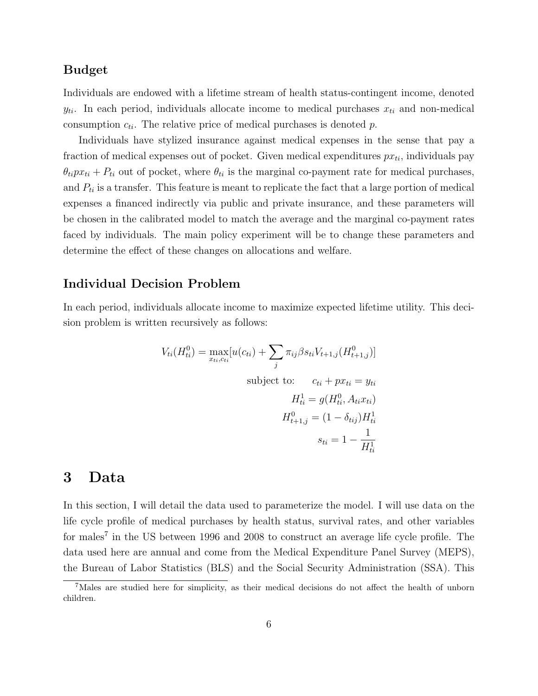## Budget

Individuals are endowed with a lifetime stream of health status-contingent income, denoted  $y_{ti}$ . In each period, individuals allocate income to medical purchases  $x_{ti}$  and non-medical consumption  $c_{ti}$ . The relative price of medical purchases is denoted p.

Individuals have stylized insurance against medical expenses in the sense that pay a fraction of medical expenses out of pocket. Given medical expenditures  $px_{ti}$ , individuals pay  $\theta_{ti}px_{ti} + P_{ti}$  out of pocket, where  $\theta_{ti}$  is the marginal co-payment rate for medical purchases, and  $P_{ti}$  is a transfer. This feature is meant to replicate the fact that a large portion of medical expenses a financed indirectly via public and private insurance, and these parameters will be chosen in the calibrated model to match the average and the marginal co-payment rates faced by individuals. The main policy experiment will be to change these parameters and determine the effect of these changes on allocations and welfare.

## Individual Decision Problem

In each period, individuals allocate income to maximize expected lifetime utility. This decision problem is written recursively as follows:

$$
V_{ti}(H_{ti}^0) = \max_{x_{ti}, c_{ti}} [u(c_{ti}) + \sum_j \pi_{ij} \beta s_{ti} V_{t+1,j} (H_{t+1,j}^0)]
$$
  
subject to:  $c_{ti} + px_{ti} = y_{ti}$   

$$
H_{ti}^1 = g(H_{ti}^0, A_{ti} x_{ti})
$$
  

$$
H_{t+1,j}^0 = (1 - \delta_{tij}) H_{ti}^1
$$
  

$$
s_{ti} = 1 - \frac{1}{H_{ti}^1}
$$

## 3 Data

In this section, I will detail the data used to parameterize the model. I will use data on the life cycle profile of medical purchases by health status, survival rates, and other variables for males<sup>7</sup> in the US between 1996 and 2008 to construct an average life cycle profile. The data used here are annual and come from the Medical Expenditure Panel Survey (MEPS), the Bureau of Labor Statistics (BLS) and the Social Security Administration (SSA). This

<sup>7</sup>Males are studied here for simplicity, as their medical decisions do not affect the health of unborn children.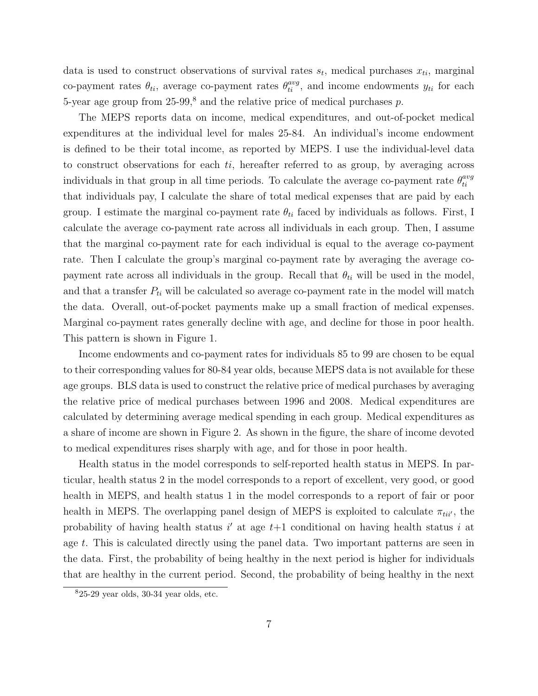data is used to construct observations of survival rates  $s_t$ , medical purchases  $x_{ti}$ , marginal co-payment rates  $\theta_{ti}$ , average co-payment rates  $\theta_{ti}^{avg}$ , and income endowments  $y_{ti}$  for each 5-year age group from  $25-99$ ,<sup>8</sup> and the relative price of medical purchases p.

The MEPS reports data on income, medical expenditures, and out-of-pocket medical expenditures at the individual level for males 25-84. An individual's income endowment is defined to be their total income, as reported by MEPS. I use the individual-level data to construct observations for each  $ti$ , hereafter referred to as group, by averaging across individuals in that group in all time periods. To calculate the average co-payment rate  $\theta_{ti}^{avg}$ ti that individuals pay, I calculate the share of total medical expenses that are paid by each group. I estimate the marginal co-payment rate  $\theta_{ti}$  faced by individuals as follows. First, I calculate the average co-payment rate across all individuals in each group. Then, I assume that the marginal co-payment rate for each individual is equal to the average co-payment rate. Then I calculate the group's marginal co-payment rate by averaging the average copayment rate across all individuals in the group. Recall that  $\theta_{ti}$  will be used in the model, and that a transfer  $P_{ti}$  will be calculated so average co-payment rate in the model will match the data. Overall, out-of-pocket payments make up a small fraction of medical expenses. Marginal co-payment rates generally decline with age, and decline for those in poor health. This pattern is shown in Figure 1.

Income endowments and co-payment rates for individuals 85 to 99 are chosen to be equal to their corresponding values for 80-84 year olds, because MEPS data is not available for these age groups. BLS data is used to construct the relative price of medical purchases by averaging the relative price of medical purchases between 1996 and 2008. Medical expenditures are calculated by determining average medical spending in each group. Medical expenditures as a share of income are shown in Figure 2. As shown in the figure, the share of income devoted to medical expenditures rises sharply with age, and for those in poor health.

Health status in the model corresponds to self-reported health status in MEPS. In particular, health status 2 in the model corresponds to a report of excellent, very good, or good health in MEPS, and health status 1 in the model corresponds to a report of fair or poor health in MEPS. The overlapping panel design of MEPS is exploited to calculate  $\pi_{\text{tri}}$ , the probability of having health status  $i'$  at age  $t+1$  conditional on having health status i at age t. This is calculated directly using the panel data. Two important patterns are seen in the data. First, the probability of being healthy in the next period is higher for individuals that are healthy in the current period. Second, the probability of being healthy in the next

 $825-29$  year olds,  $30-34$  year olds, etc.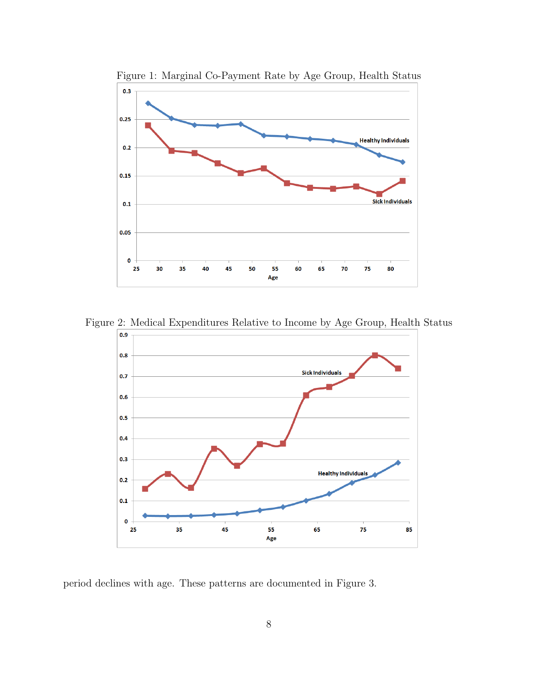

Figure 1: Marginal Co-Payment Rate by Age Group, Health Status

Figure 2: Medical Expenditures Relative to Income by Age Group, Health Status



period declines with age. These patterns are documented in Figure 3.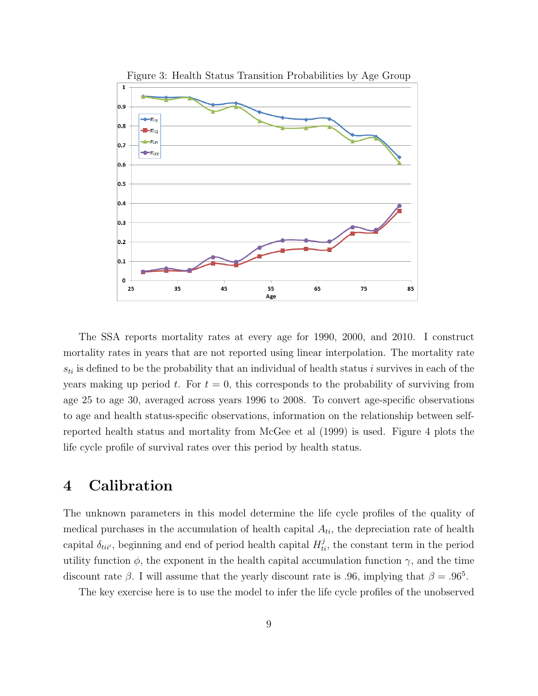

The SSA reports mortality rates at every age for 1990, 2000, and 2010. I construct mortality rates in years that are not reported using linear interpolation. The mortality rate  $s_{ti}$  is defined to be the probability that an individual of health status i survives in each of the years making up period t. For  $t = 0$ , this corresponds to the probability of surviving from age 25 to age 30, averaged across years 1996 to 2008. To convert age-specific observations to age and health status-specific observations, information on the relationship between selfreported health status and mortality from McGee et al (1999) is used. Figure 4 plots the life cycle profile of survival rates over this period by health status.

## 4 Calibration

The unknown parameters in this model determine the life cycle profiles of the quality of medical purchases in the accumulation of health capital  $A_{ti}$ , the depreciation rate of health capital  $\delta_{tii'}$ , beginning and end of period health capital  $H_{ti}^j$ , the constant term in the period utility function  $\phi$ , the exponent in the health capital accumulation function  $\gamma$ , and the time discount rate  $\beta$ . I will assume that the yearly discount rate is .96, implying that  $\beta = .96^5$ .

The key exercise here is to use the model to infer the life cycle profiles of the unobserved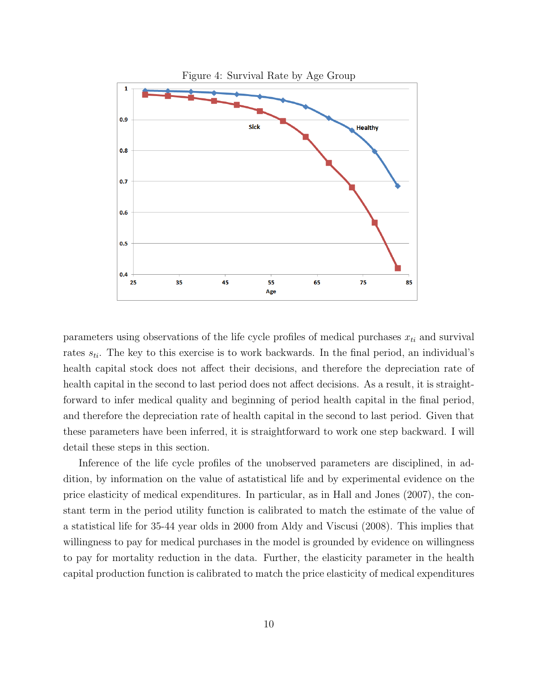

parameters using observations of the life cycle profiles of medical purchases  $x_{ti}$  and survival rates  $s_{ti}$ . The key to this exercise is to work backwards. In the final period, an individual's health capital stock does not affect their decisions, and therefore the depreciation rate of health capital in the second to last period does not affect decisions. As a result, it is straightforward to infer medical quality and beginning of period health capital in the final period, and therefore the depreciation rate of health capital in the second to last period. Given that these parameters have been inferred, it is straightforward to work one step backward. I will detail these steps in this section.

Inference of the life cycle profiles of the unobserved parameters are disciplined, in addition, by information on the value of astatistical life and by experimental evidence on the price elasticity of medical expenditures. In particular, as in Hall and Jones (2007), the constant term in the period utility function is calibrated to match the estimate of the value of a statistical life for 35-44 year olds in 2000 from Aldy and Viscusi (2008). This implies that willingness to pay for medical purchases in the model is grounded by evidence on willingness to pay for mortality reduction in the data. Further, the elasticity parameter in the health capital production function is calibrated to match the price elasticity of medical expenditures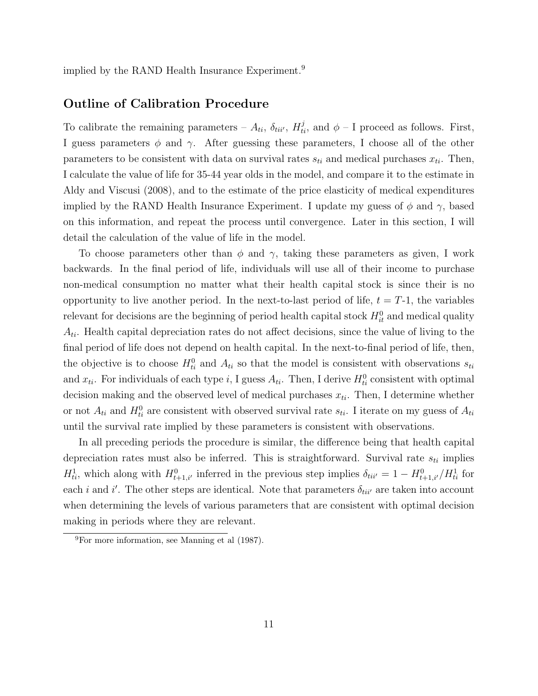implied by the RAND Health Insurance Experiment.<sup>9</sup>

### Outline of Calibration Procedure

To calibrate the remaining parameters –  $A_{ti}$ ,  $\delta_{tii'}$ ,  $H_{ti}^j$ , and  $\phi$  – I proceed as follows. First, I guess parameters  $\phi$  and  $\gamma$ . After guessing these parameters, I choose all of the other parameters to be consistent with data on survival rates  $s_{ti}$  and medical purchases  $x_{ti}$ . Then, I calculate the value of life for 35-44 year olds in the model, and compare it to the estimate in Aldy and Viscusi (2008), and to the estimate of the price elasticity of medical expenditures implied by the RAND Health Insurance Experiment. I update my guess of  $\phi$  and  $\gamma$ , based on this information, and repeat the process until convergence. Later in this section, I will detail the calculation of the value of life in the model.

To choose parameters other than  $\phi$  and  $\gamma$ , taking these parameters as given, I work backwards. In the final period of life, individuals will use all of their income to purchase non-medical consumption no matter what their health capital stock is since their is no opportunity to live another period. In the next-to-last period of life,  $t = T-1$ , the variables relevant for decisions are the beginning of period health capital stock  $H_{it}^0$  and medical quality  $A_{ti}$ . Health capital depreciation rates do not affect decisions, since the value of living to the final period of life does not depend on health capital. In the next-to-final period of life, then, the objective is to choose  $H_{ti}^0$  and  $A_{ti}$  so that the model is consistent with observations  $s_{ti}$ and  $x_{ti}$ . For individuals of each type i, I guess  $A_{ti}$ . Then, I derive  $H_{ti}^0$  consistent with optimal decision making and the observed level of medical purchases  $x_{ti}$ . Then, I determine whether or not  $A_{ti}$  and  $H_{ti}^0$  are consistent with observed survival rate  $s_{ti}$ . I iterate on my guess of  $A_{ti}$ until the survival rate implied by these parameters is consistent with observations.

In all preceding periods the procedure is similar, the difference being that health capital depreciation rates must also be inferred. This is straightforward. Survival rate  $s_{ti}$  implies  $H_{ti}^1$ , which along with  $H_{t+1,i'}^0$  inferred in the previous step implies  $\delta_{tii'} = 1 - H_{t+1,i'}^0/H_{ti}^1$  for each *i* and *i'*. The other steps are identical. Note that parameters  $\delta_{tii'}$  are taken into account when determining the levels of various parameters that are consistent with optimal decision making in periods where they are relevant.

<sup>9</sup>For more information, see Manning et al (1987).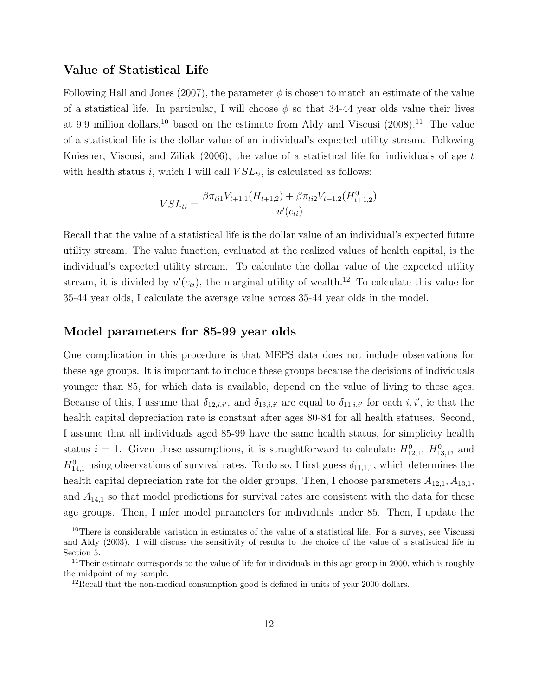### Value of Statistical Life

Following Hall and Jones (2007), the parameter  $\phi$  is chosen to match an estimate of the value of a statistical life. In particular, I will choose  $\phi$  so that 34-44 year olds value their lives at 9.9 million dollars,<sup>10</sup> based on the estimate from Aldy and Viscusi  $(2008).$ <sup>11</sup> The value of a statistical life is the dollar value of an individual's expected utility stream. Following Kniesner, Viscusi, and Ziliak  $(2006)$ , the value of a statistical life for individuals of age t with health status i, which I will call  $VSL_{ti}$ , is calculated as follows:

$$
VSL_{ti} = \frac{\beta \pi_{ti1} V_{t+1,1}(H_{t+1,2}) + \beta \pi_{ti2} V_{t+1,2}(H_{t+1,2}^0)}{u'(c_{ti})}
$$

Recall that the value of a statistical life is the dollar value of an individual's expected future utility stream. The value function, evaluated at the realized values of health capital, is the individual's expected utility stream. To calculate the dollar value of the expected utility stream, it is divided by  $u'(c_{ti})$ , the marginal utility of wealth.<sup>12</sup> To calculate this value for 35-44 year olds, I calculate the average value across 35-44 year olds in the model.

#### Model parameters for 85-99 year olds

One complication in this procedure is that MEPS data does not include observations for these age groups. It is important to include these groups because the decisions of individuals younger than 85, for which data is available, depend on the value of living to these ages. Because of this, I assume that  $\delta_{12,i,i'}$ , and  $\delta_{13,i,i'}$  are equal to  $\delta_{11,i,i'}$  for each i, i', ie that the health capital depreciation rate is constant after ages  $80-84$  for all health statuses. Second, I assume that all individuals aged 85-99 have the same health status, for simplicity health status  $i = 1$ . Given these assumptions, it is straightforward to calculate  $H_{12,1}^0$ ,  $H_{13,1}^0$ , and  $H_{14,1}^0$  using observations of survival rates. To do so, I first guess  $\delta_{11,1,1}$ , which determines the health capital depreciation rate for the older groups. Then, I choose parameters  $A_{12,1}, A_{13,1}$ , and  $A_{14,1}$  so that model predictions for survival rates are consistent with the data for these age groups. Then, I infer model parameters for individuals under 85. Then, I update the

<sup>&</sup>lt;sup>10</sup>There is considerable variation in estimates of the value of a statistical life. For a survey, see Viscussi and Aldy (2003). I will discuss the sensitivity of results to the choice of the value of a statistical life in Section 5.

<sup>&</sup>lt;sup>11</sup>Their estimate corresponds to the value of life for individuals in this age group in 2000, which is roughly the midpoint of my sample.

<sup>&</sup>lt;sup>12</sup>Recall that the non-medical consumption good is defined in units of year 2000 dollars.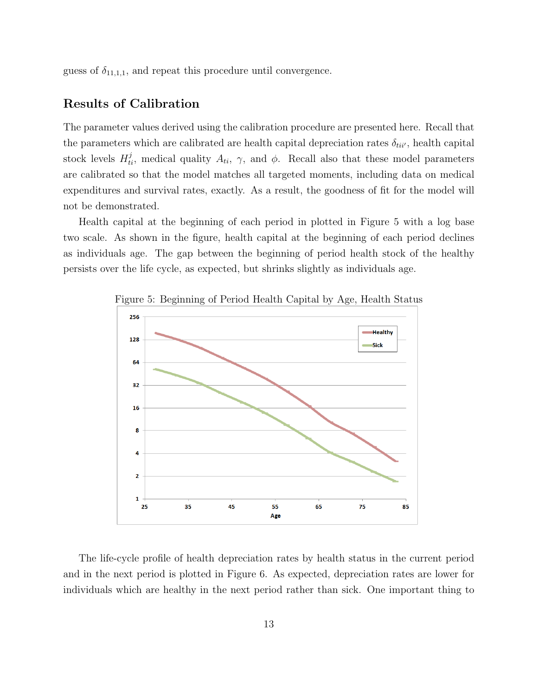guess of  $\delta_{11,1,1}$ , and repeat this procedure until convergence.

## Results of Calibration

The parameter values derived using the calibration procedure are presented here. Recall that the parameters which are calibrated are health capital depreciation rates  $\delta_{tii'}$ , health capital stock levels  $H_{ti}^j$ , medical quality  $A_{ti}$ ,  $\gamma$ , and  $\phi$ . Recall also that these model parameters are calibrated so that the model matches all targeted moments, including data on medical expenditures and survival rates, exactly. As a result, the goodness of fit for the model will not be demonstrated.

Health capital at the beginning of each period in plotted in Figure 5 with a log base two scale. As shown in the figure, health capital at the beginning of each period declines as individuals age. The gap between the beginning of period health stock of the healthy persists over the life cycle, as expected, but shrinks slightly as individuals age.



Figure 5: Beginning of Period Health Capital by Age, Health Status

The life-cycle profile of health depreciation rates by health status in the current period and in the next period is plotted in Figure 6. As expected, depreciation rates are lower for individuals which are healthy in the next period rather than sick. One important thing to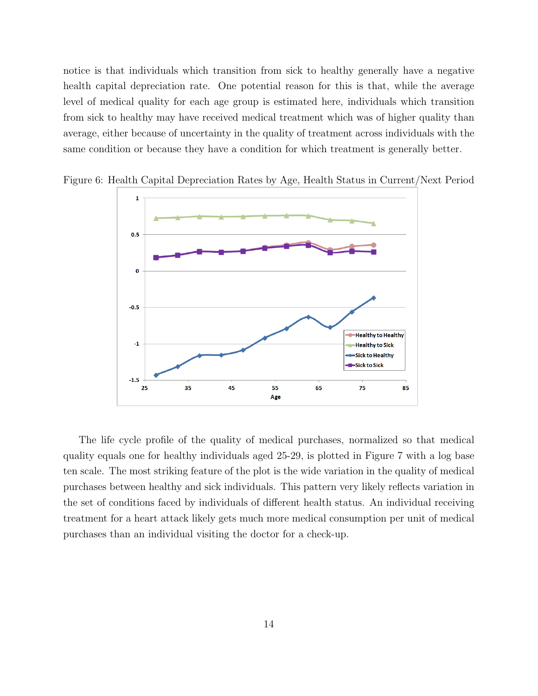notice is that individuals which transition from sick to healthy generally have a negative health capital depreciation rate. One potential reason for this is that, while the average level of medical quality for each age group is estimated here, individuals which transition from sick to healthy may have received medical treatment which was of higher quality than average, either because of uncertainty in the quality of treatment across individuals with the same condition or because they have a condition for which treatment is generally better.



Figure 6: Health Capital Depreciation Rates by Age, Health Status in Current/Next Period

The life cycle profile of the quality of medical purchases, normalized so that medical quality equals one for healthy individuals aged 25-29, is plotted in Figure 7 with a log base ten scale. The most striking feature of the plot is the wide variation in the quality of medical purchases between healthy and sick individuals. This pattern very likely reflects variation in the set of conditions faced by individuals of different health status. An individual receiving treatment for a heart attack likely gets much more medical consumption per unit of medical purchases than an individual visiting the doctor for a check-up.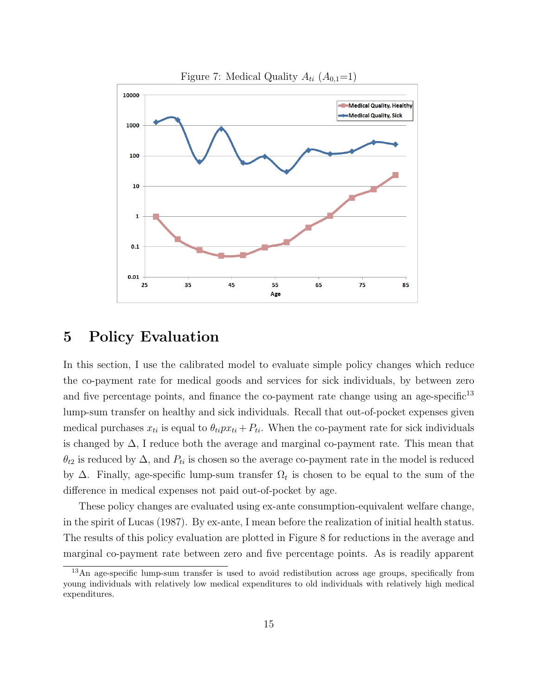

## 5 Policy Evaluation

In this section, I use the calibrated model to evaluate simple policy changes which reduce the co-payment rate for medical goods and services for sick individuals, by between zero and five percentage points, and finance the co-payment rate change using an age-specific $13$ lump-sum transfer on healthy and sick individuals. Recall that out-of-pocket expenses given medical purchases  $x_{ti}$  is equal to  $\theta_{ti}px_{ti} + P_{ti}$ . When the co-payment rate for sick individuals is changed by ∆, I reduce both the average and marginal co-payment rate. This mean that  $\theta_{t2}$  is reduced by  $\Delta$ , and  $P_{ti}$  is chosen so the average co-payment rate in the model is reduced by  $\Delta$ . Finally, age-specific lump-sum transfer  $\Omega_t$  is chosen to be equal to the sum of the difference in medical expenses not paid out-of-pocket by age.

These policy changes are evaluated using ex-ante consumption-equivalent welfare change, in the spirit of Lucas (1987). By ex-ante, I mean before the realization of initial health status. The results of this policy evaluation are plotted in Figure 8 for reductions in the average and marginal co-payment rate between zero and five percentage points. As is readily apparent

<sup>13</sup>An age-specific lump-sum transfer is used to avoid redistibution across age groups, specifically from young individuals with relatively low medical expenditures to old individuals with relatively high medical expenditures.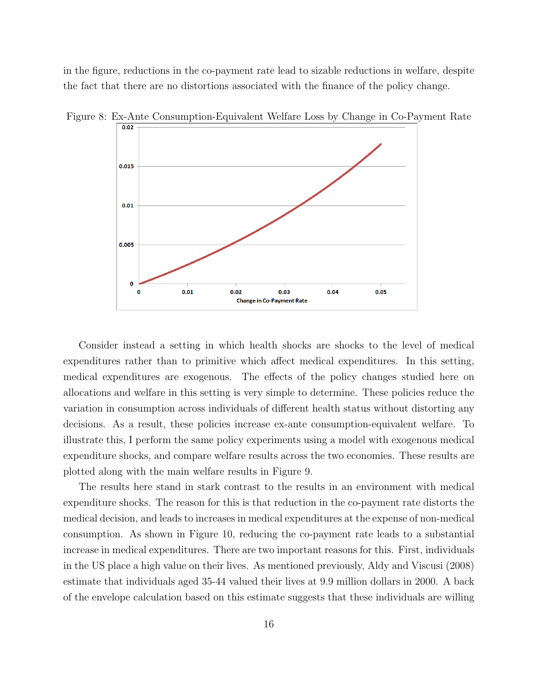in the figure, reductions in the co-payment rate lead to sizable reductions in welfare, despite the fact that there are no distortions associated with the finance of the policy change.



Figure 8: Ex-Ante Consumption-Equivalent Welfare Loss by Change in Co-Payment Rate

Consider instead a setting in which health shocks are shocks to the level of medical expenditures rather than to primitive which affect medical expenditures. In this setting, medical expenditures are exogenous. The effects of the policy changes studied here on allocations and welfare in this setting is very simple to determine. These policies reduce the variation in consumption across individuals of different health status without distorting any decisions. As a result, these policies increase ex-ante consumption-equivalent welfare. To illustrate this, I perform the same policy experiments using a model with exogenous medical expenditure shocks, and compare welfare results across the two economies. These results are plotted along with the main welfare results in Figure 9.

The results here stand in stark contrast to the results in an environment with medical expenditure shocks. The reason for this is that reduction in the co-payment rate distorts the medical decision, and leads to increases in medical expenditures at the expense of non-medical consumption. As shown in Figure 10, reducing the co-payment rate leads to a substantial increase in medical expenditures. There are two important reasons for this. First, individuals in the US place a high value on their lives. As mentioned previously, Aldy and Viscusi (2008) estimate that individuals aged 35-44 valued their lives at 9.9 million dollars in 2000. A back of the envelope calculation based on this estimate suggests that these individuals are willing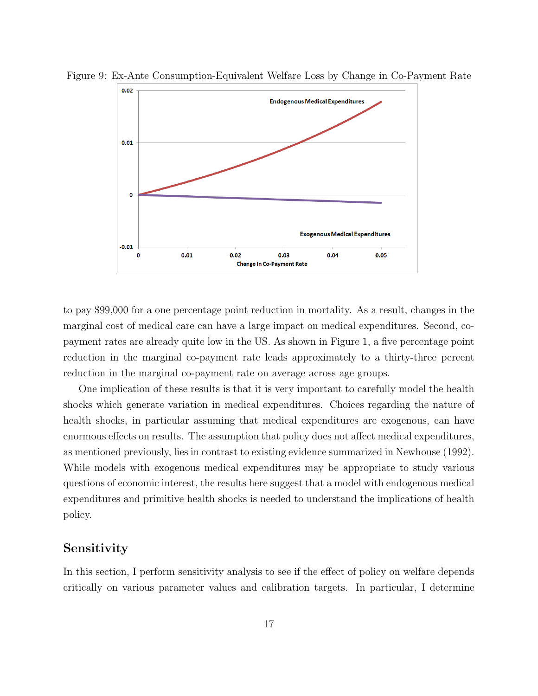

Figure 9: Ex-Ante Consumption-Equivalent Welfare Loss by Change in Co-Payment Rate

to pay \$99,000 for a one percentage point reduction in mortality. As a result, changes in the marginal cost of medical care can have a large impact on medical expenditures. Second, copayment rates are already quite low in the US. As shown in Figure 1, a five percentage point reduction in the marginal co-payment rate leads approximately to a thirty-three percent reduction in the marginal co-payment rate on average across age groups.

One implication of these results is that it is very important to carefully model the health shocks which generate variation in medical expenditures. Choices regarding the nature of health shocks, in particular assuming that medical expenditures are exogenous, can have enormous effects on results. The assumption that policy does not affect medical expenditures, as mentioned previously, lies in contrast to existing evidence summarized in Newhouse (1992). While models with exogenous medical expenditures may be appropriate to study various questions of economic interest, the results here suggest that a model with endogenous medical expenditures and primitive health shocks is needed to understand the implications of health policy.

### Sensitivity

In this section, I perform sensitivity analysis to see if the effect of policy on welfare depends critically on various parameter values and calibration targets. In particular, I determine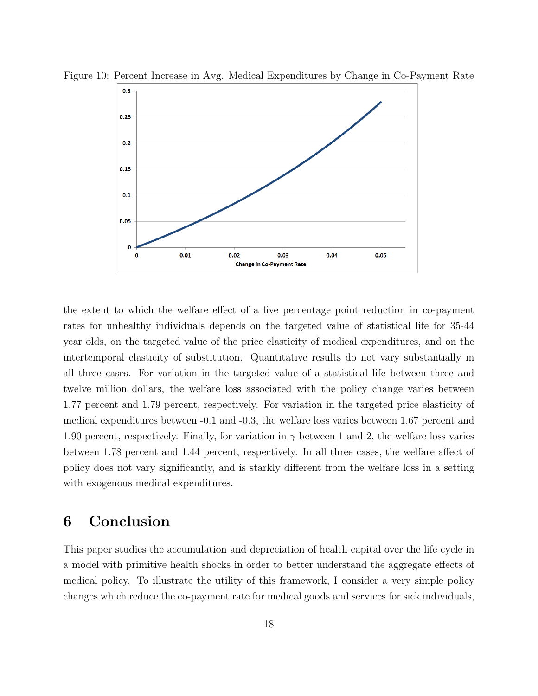

Figure 10: Percent Increase in Avg. Medical Expenditures by Change in Co-Payment Rate

the extent to which the welfare effect of a five percentage point reduction in co-payment rates for unhealthy individuals depends on the targeted value of statistical life for 35-44 year olds, on the targeted value of the price elasticity of medical expenditures, and on the intertemporal elasticity of substitution. Quantitative results do not vary substantially in all three cases. For variation in the targeted value of a statistical life between three and twelve million dollars, the welfare loss associated with the policy change varies between 1.77 percent and 1.79 percent, respectively. For variation in the targeted price elasticity of medical expenditures between -0.1 and -0.3, the welfare loss varies between 1.67 percent and 1.90 percent, respectively. Finally, for variation in  $\gamma$  between 1 and 2, the welfare loss varies between 1.78 percent and 1.44 percent, respectively. In all three cases, the welfare affect of policy does not vary significantly, and is starkly different from the welfare loss in a setting with exogenous medical expenditures.

## 6 Conclusion

This paper studies the accumulation and depreciation of health capital over the life cycle in a model with primitive health shocks in order to better understand the aggregate effects of medical policy. To illustrate the utility of this framework, I consider a very simple policy changes which reduce the co-payment rate for medical goods and services for sick individuals,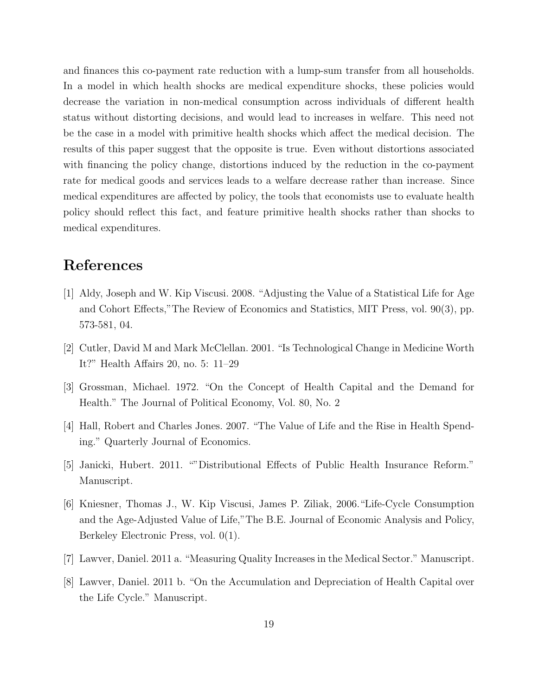and finances this co-payment rate reduction with a lump-sum transfer from all households. In a model in which health shocks are medical expenditure shocks, these policies would decrease the variation in non-medical consumption across individuals of different health status without distorting decisions, and would lead to increases in welfare. This need not be the case in a model with primitive health shocks which affect the medical decision. The results of this paper suggest that the opposite is true. Even without distortions associated with financing the policy change, distortions induced by the reduction in the co-payment rate for medical goods and services leads to a welfare decrease rather than increase. Since medical expenditures are affected by policy, the tools that economists use to evaluate health policy should reflect this fact, and feature primitive health shocks rather than shocks to medical expenditures.

## References

- [1] Aldy, Joseph and W. Kip Viscusi. 2008. "Adjusting the Value of a Statistical Life for Age and Cohort Effects,"The Review of Economics and Statistics, MIT Press, vol. 90(3), pp. 573-581, 04.
- [2] Cutler, David M and Mark McClellan. 2001. "Is Technological Change in Medicine Worth It?" Health Affairs 20, no. 5: 11–29
- [3] Grossman, Michael. 1972. "On the Concept of Health Capital and the Demand for Health." The Journal of Political Economy, Vol. 80, No. 2
- [4] Hall, Robert and Charles Jones. 2007. "The Value of Life and the Rise in Health Spending." Quarterly Journal of Economics.
- [5] Janicki, Hubert. 2011. ""Distributional Effects of Public Health Insurance Reform." Manuscript.
- [6] Kniesner, Thomas J., W. Kip Viscusi, James P. Ziliak, 2006."Life-Cycle Consumption and the Age-Adjusted Value of Life,"The B.E. Journal of Economic Analysis and Policy, Berkeley Electronic Press, vol. 0(1).
- [7] Lawver, Daniel. 2011 a. "Measuring Quality Increases in the Medical Sector." Manuscript.
- [8] Lawver, Daniel. 2011 b. "On the Accumulation and Depreciation of Health Capital over the Life Cycle." Manuscript.